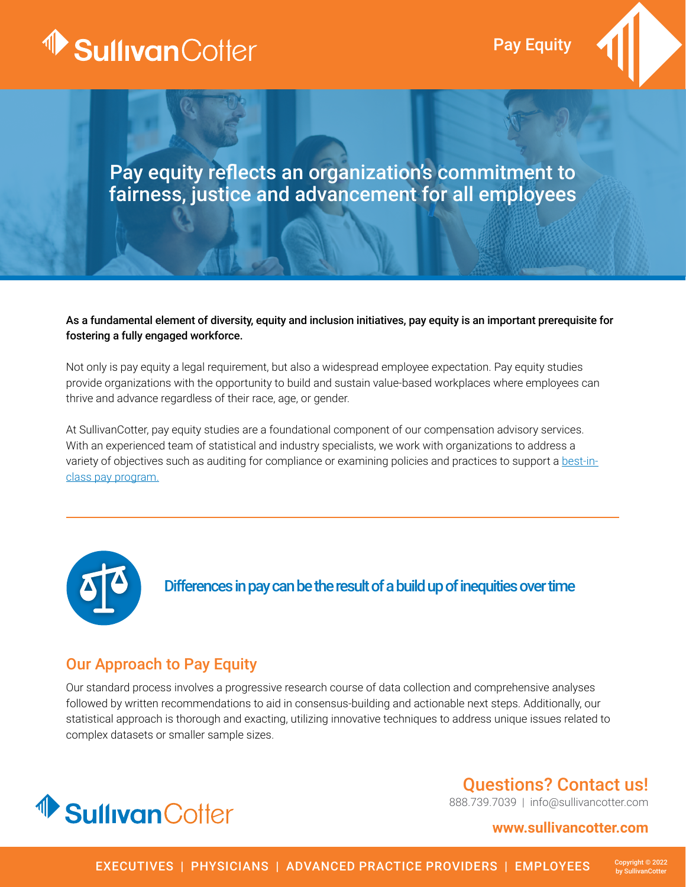

Pay Equity



# Pay equity reflects an organization's commitment to fairness, justice and advancement for all employees

### As a fundamental element of diversity, equity and inclusion initiatives, pay equity is an important prerequisite for fostering a fully engaged workforce.

Not only is pay equity a legal requirement, but also a widespread employee expectation. Pay equity studies provide organizations with the opportunity to build and sustain value-based workplaces where employees can thrive and advance regardless of their race, age, or gender.

At SullivanCotter, pay equity studies are a foundational component of our compensation advisory services. With an experienced team of statistical and industry specialists, we work with organizations to address a variety of objectives such as auditing for compliance or examining policies and practices to support a [best-in](https://sullivancotter.com/how-we-help/compensation-and-rewards/)[class pay program.](https://sullivancotter.com/how-we-help/compensation-and-rewards/)



Differences in pay can be the result of a build up of inequities over time

## Our Approach to Pay Equity

Our standard process involves a progressive research course of data collection and comprehensive analyses followed by written recommendations to aid in consensus-building and actionable next steps. Additionally, our statistical approach is thorough and exacting, utilizing innovative techniques to address unique issues related to complex datasets or smaller sample sizes.



# Questions? Contact us!

888.739.7039 | info@sullivancotter.com

### **www.sullivancotter.com**